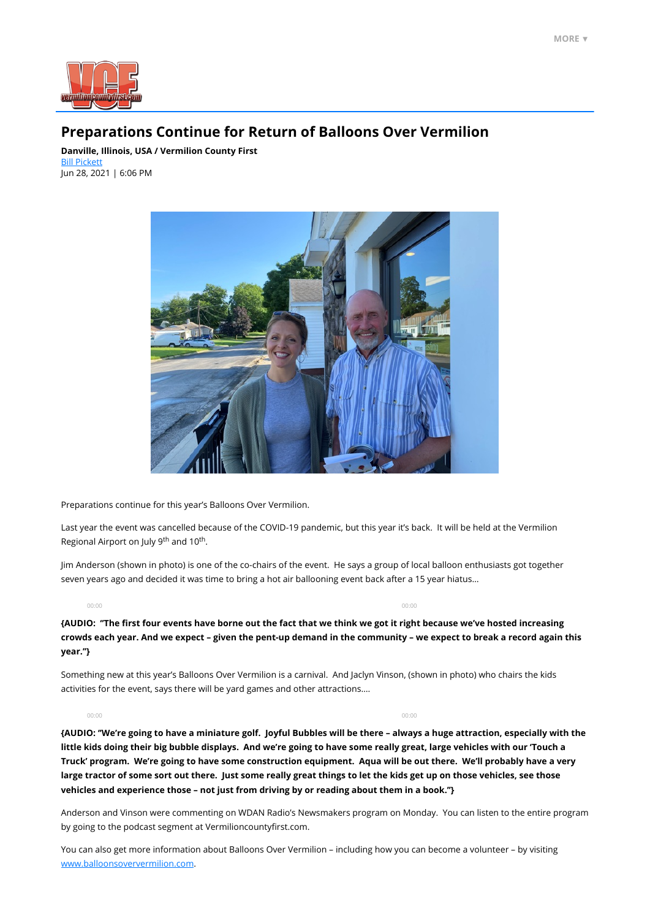

# **Preparations Continue for Return of Balloons Over Vermilion**

Last year the event was cancelled because of the COVID-19 pandemic, but this year it's back. It will be held at the Vermilion Regional Airport on July 9<sup>th</sup> and 10<sup>th</sup>.

**Danville, Illinois, USA / Vermilion County First** [Bill Pickett](mailto:billpickett@neuhoffmedia.com) Jun 28, 2021 | 6:06 PM



Preparations continue for this year's Balloons Over Vermilion.

Jim Anderson (shown in photo) is one of the co-chairs of the event. He says a group of local balloon enthusiasts got together seven years ago and decided it was time to bring a hot air ballooning event back after a 15 year hiatus…

**{AUDIO: ''The first four events have borne out the fact that we think we got it right because we've hosted increasing crowds each year. And we expect – given the pent-up demand in the community – we expect to break a record again this year.''}**

Something new at this year's Balloons Over Vermilion is a carnival. And Jaclyn Vinson, (shown in photo) who chairs the kids activities for the event, says there will be yard games and other attractions….

**{AUDIO: ''We're going to have a miniature golf. Joyful Bubbles will be there – always a huge attraction, especially with the little kids doing their big bubble displays. And we're going to have some really great, large vehicles with our 'Touch a Truck' program. We're going to have some construction equipment. Aqua will be out there. We'll probably have a very**

**large tractor of some sort out there. Just some really great things to let the kids get up on those vehicles, see those vehicles and experience those – not just from driving by or reading about them in a book.''}**

Anderson and Vinson were commenting on WDAN Radio's Newsmakers program on Monday. You can listen to the entire program by going to the podcast segment at Vermilioncountyfirst.com.

You can also get more information about Balloons Over Vermilion – including how you can become a volunteer – by visiting [www.balloonsoververmilion.com](http://www.balloonsoververmilion.com/).

00:00 00:00

00:00 00:00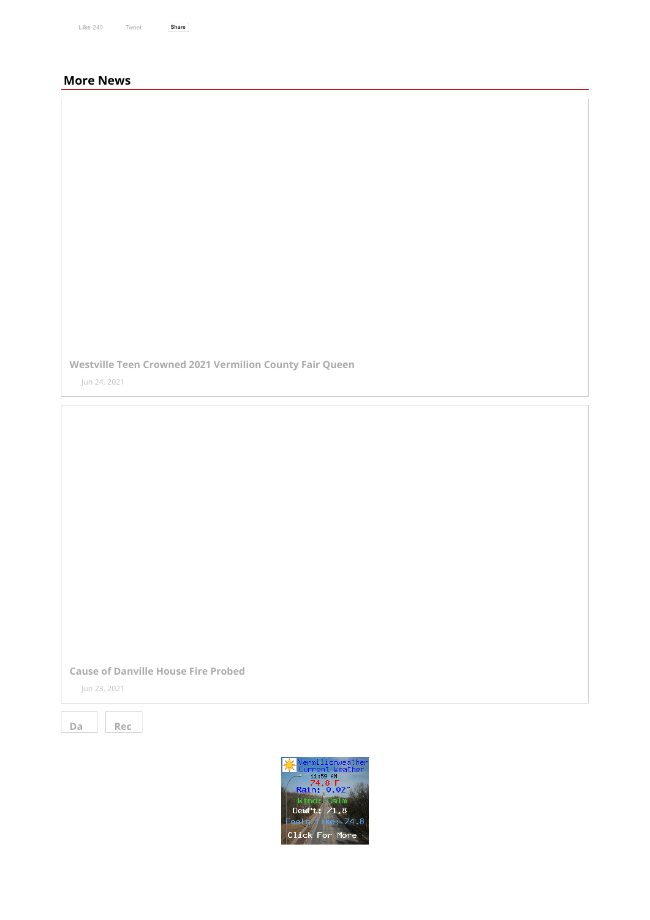| <b>Like 240</b> | Tweet | <b>Share</b> |  |
|-----------------|-------|--------------|--|

# **More News**

**[Westville Teen Crowned 2021 Vermilion County Fair Queen](https://vermilioncountyfirst.com/2021/06/23/westville-teen-crowned-2021-vermilion-county-fair-queen/)**

Jun 24, 2021

### **[Cause of Danville House Fire Probed](https://vermilioncountyfirst.com/2021/06/23/cause-of-danville-house-fire-probed-6/)**

Jun 23, 2021



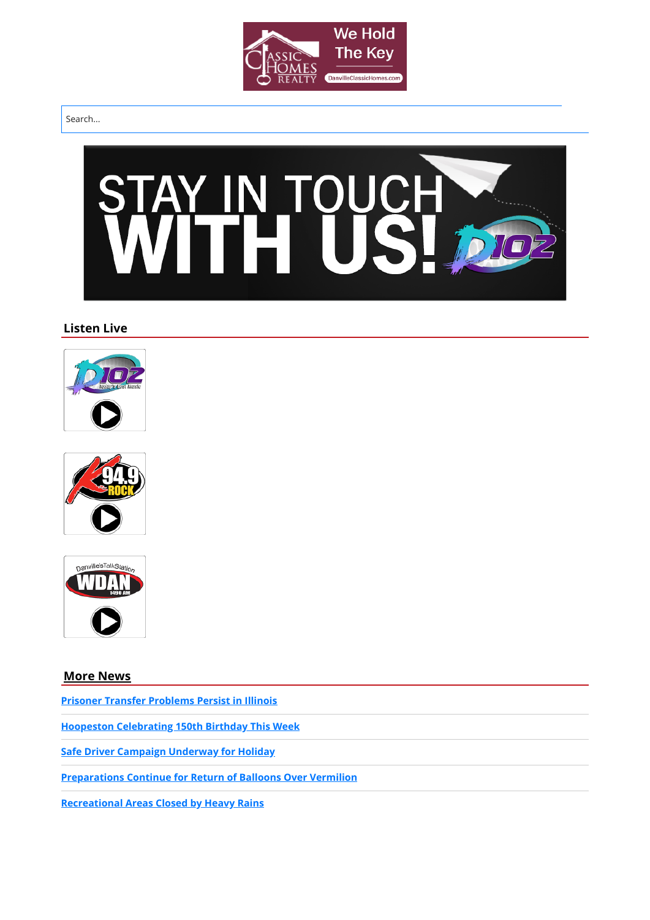

#### Search...



# **Listen Live**







**[More News](https://vermilioncountyfirst.com/news/)**

**[Prisoner Transfer Problems Persist in Illinois](https://vermilioncountyfirst.com/2021/06/28/prisoner-transfer-problems-persist-in-illinois/)**

**[Hoopeston Celebrating 150th Birthday This Week](https://vermilioncountyfirst.com/2021/06/28/hoopeston-celebrating-150th-birthday-with-events/)**

**[Safe Driver Campaign Underway for Holiday](https://vermilioncountyfirst.com/2021/06/28/safe-driver-campaign-underway-for-holiday/)**

**[Preparations Continue for Return of Balloons Over Vermilion](https://vermilioncountyfirst.com/2021/06/28/preparations-continue-for-return-of-balloons-over-vermilion/)**

**[Recreational Areas Closed by Heavy Rains](https://vermilioncountyfirst.com/2021/06/27/recreational-areas-closed-by-heavy-rains/)**